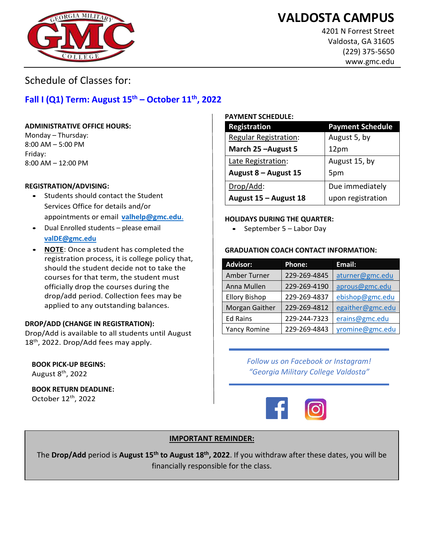## **VALDOSTA CAMPUS**



4201 N Forrest Street Valdosta, GA 31605 (229) 375-5650 www.gmc.edu

Schedule of Classes for:

### **Fall I (Q1) Term: August 15th – October 11th, 2022**

#### **ADMINISTRATIVE OFFICE HOURS:**

Monday – Thursday: 8:00 AM – 5:00 PM Friday: 8:00 AM – 12:00 PM

#### **REGISTRATION/ADVISING:**

- Students should contact the Student Services Office for details and/or appointments or email **[valhelp@gmc.edu](mailto:valhelp@gmc.edu.)**.
- Dual Enrolled students please email **[valDE@gmc.edu](mailto:valDE@gmc.edu)**
- **NOTE**: Once a student has completed the registration process, it is college policy that, should the student decide not to take the courses for that term, the student must officially drop the courses during the drop/add period. Collection fees may be applied to any outstanding balances.

#### **DROP/ADD (CHANGE IN REGISTRATION):**

Drop/Add is available to all students until August  $18<sup>th</sup>$ , 2022. Drop/Add fees may apply.

### **BOOK PICK-UP BEGINS:**

August  $8^{\text{th}}$ , 2022

**BOOK RETURN DEADLINE:**  October 12th, 2022

#### **PAYMENT SCHEDULE:**

| Registration                 | <b>Payment Schedule</b> |
|------------------------------|-------------------------|
| <b>Regular Registration:</b> | August 5, by            |
| March 25 - August 5          | 12pm                    |
| Late Registration:           | August 15, by           |
| August $8 -$ August 15       | 5pm                     |
| Drop/Add:                    | Due immediately         |
| August 15 - August 18        | upon registration       |

#### **HOLIDAYS DURING THE QUARTER:**

• September 5 – Labor Day

#### **GRADUATION COACH CONTACT INFORMATION:**

| <b>Advisor:</b>      | <b>Phone:</b> | Email:           |
|----------------------|---------------|------------------|
| Amber Turner         | 229-269-4845  | aturner@gmc.edu  |
| Anna Mullen          | 229-269-4190  | aprous@gmc.edu   |
| <b>Ellory Bishop</b> | 229-269-4837  | ebishop@gmc.edu  |
| Morgan Gaither       | 229-269-4812  | egaither@gmc.edu |
| <b>Ed Rains</b>      | 229-244-7323  | erains@gmc.edu   |
| Yancy Romine         | 229-269-4843  | yromine@gmc.edu  |

*Follow us on Facebook or Instagram! "Georgia Military College Valdosta"*



#### **IMPORTANT REMINDER:**

The **Drop/Add** period is **August 15th to August 18th , 2022**. If you withdraw after these dates, you will be financially responsible for the class.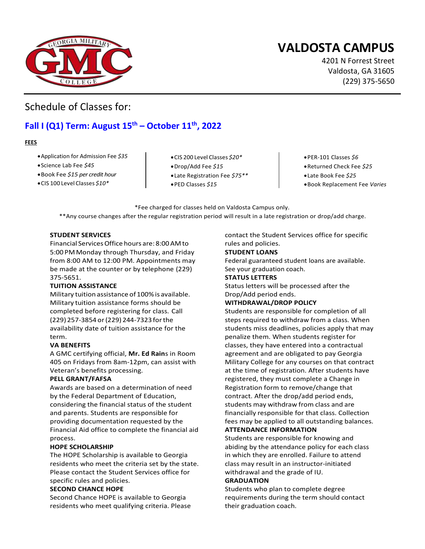## **VALDOSTA CAMPUS**

4201 N Forrest Street Valdosta, GA 31605 (229) 375-5650

ww.gmc.edu

### Schedule of Classes for:

### **Fall I (Q1) Term: August 15th – October 11th, 2022**

#### **FEES**

- •Application for Admission Fee *\$35*
- •Science Lab Fee *\$45*
- •Book Fee *\$15 per credit hour*
- •CIS 100 Level Classes *\$10\**
- •CIS 200 Level Classes *\$20\**
- •Drop/Add Fee *\$15*
- •Late Registration Fee *\$75\*\**
- •PED Classes *\$15*
- •PER-101 Classes *\$6*
- •Returned Check Fee *\$25*
- •Late Book Fee *\$25*
- •Book Replacement Fee *Varies*

\*Fee charged for classes held on Valdosta Campus only. \*\*Any course changes after the regular registration period will result in a late registration or drop/add charge.

#### **STUDENT SERVICES**

Financial Services Office hours are: 8:00 AMto 5:00 PM Monday through Thursday, and Friday from 8:00 AM to 12:00 PM. Appointments may be made at the counter or by telephone (229) 375-5651.

#### **TUITION ASSISTANCE**

Military tuition assistance of 100% is available. Military tuition assistance forms should be completed before registering for class. Call (229) 257-3854 or (229) 244-7323 for the availability date of tuition assistance for the term.

#### **VA BENEFITS**

A GMC certifying official, **Mr. Ed Rain**s in Room 405 on Fridays from 8am-12pm, can assist with Veteran's benefits processing.

#### **PELL GRANT/FAFSA**

Awards are based on a determination of need by the Federal Department of Education, considering the financial status of the student and parents. Students are responsible for providing documentation requested by the Financial Aid office to complete the financial aid process.

#### **HOPE SCHOLARSHIP**

The HOPE Scholarship is available to Georgia residents who meet the criteria set by the state. Please contact the Student Services office for specific rules and policies.

#### **SECOND CHANCE HOPE**

Second Chance HOPE is available to Georgia residents who meet qualifying criteria. Please contact the Student Services office for specific rules and policies.

#### **STUDENT LOANS**

Federal guaranteed student loans are available. See your graduation coach.

#### **STATUS LETTERS**

Status letters will be processed after the Drop/Add period ends.

#### **WITHDRAWAL/DROP POLICY**

Students are responsible for completion of all steps required to withdraw from a class. When students miss deadlines, policies apply that may penalize them. When students register for classes, they have entered into a contractual agreement and are obligated to pay Georgia Military College for any courses on that contract at the time of registration. After students have registered, they must complete a Change in Registration form to remove/change that contract. After the drop/add period ends, students may withdraw from class and are financially responsible for that class. Collection fees may be applied to all outstanding balances.

#### **ATTENDANCE INFORMATION**

Students are responsible for knowing and abiding by the attendance policy for each class in which they are enrolled. Failure to attend class may result in an instructor-initiated withdrawal and the grade of IU.

#### **GRADUATION**

Students who plan to complete degree requirements during the term should contact their graduation coach.

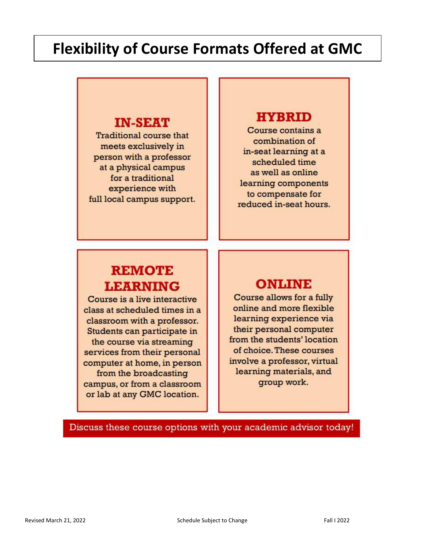# **Flexibility of Course Formats Offered at GMC**

### **IN-SEAT**

**Traditional course that** meets exclusively in person with a professor at a physical campus for a traditional experience with full local campus support.

### **HYBRID**

Course contains a combination of in-seat learning at a scheduled time as well as online learning components to compensate for reduced in-seat hours.

## **REMOTE LEARNING**

Course is a live interactive class at scheduled times in a classroom with a professor. Students can participate in the course via streaming services from their personal computer at home, in person from the broadcasting campus, or from a classroom or lab at any GMC location.

## **ONLINE**

Course allows for a fully online and more flexible learning experience via their personal computer from the students' location of choice. These courses involve a professor, virtual learning materials, and group work.

Discuss these course options with your academic advisor today!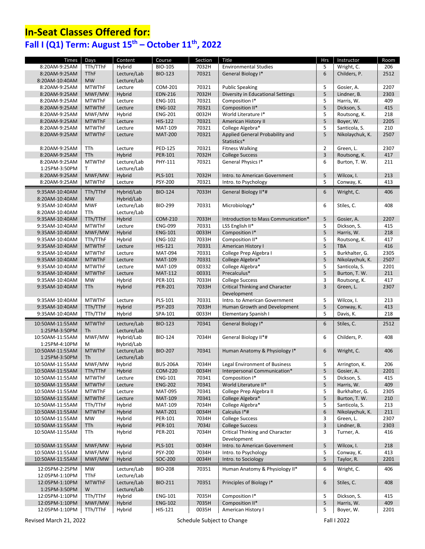## **In-Seat Classes Offered for: Fall I (Q1) Term: August 15th – October 11th, 2022**

| Times                            | Days                | Content                    | Course          | Section | Title                                                  | <b>Hrs</b>     | Instructor      | Room |
|----------------------------------|---------------------|----------------------------|-----------------|---------|--------------------------------------------------------|----------------|-----------------|------|
| 8:20AM-9:25AM                    | TTh/TThF            | Hybrid                     | <b>BIO-105</b>  | 7032H   | <b>Environmental Studies</b>                           | 5              | Wright, C.      | 206  |
| 8:20AM-9:25AM                    | <b>TThF</b>         | Lecture/Lab                | <b>BIO-123</b>  | 70321   | General Biology I*                                     | 6              | Childers, P.    | 2512 |
| 8:20AM-10:40AM                   | <b>MW</b>           | Lecture/Lab                |                 |         |                                                        |                |                 |      |
| 8:20AM-9:25AM                    | <b>MTWThF</b>       | Lecture                    | COM-201         | 70321   | <b>Public Speaking</b>                                 | 5              | Gosier, A.      | 2207 |
| 8:20AM-9:25AM                    | MWF/MW              | Hybrid                     | <b>EDN-216</b>  | 7032H   | Diversity in Educational Settings                      | 5              | Lindner, B.     | 2303 |
| 8:20AM-9:25AM                    | <b>MTWThF</b>       | Lecture                    | <b>ENG-101</b>  | 70321   | Composition I*                                         | 5              | Harris, W.      | 409  |
| 8:20AM-9:25AM                    | <b>MTWThF</b>       | Lecture                    | <b>ENG-102</b>  | 70321   | Composition II*                                        | 5              | Dickson, S.     | 415  |
| 8:20AM-9:25AM                    | MWF/MW              | Hybrid                     | <b>ENG-201</b>  | 0032H   | World Literature I*                                    | 5              | Routsong, K.    | 218  |
| 8:20AM-9:25AM                    | <b>MTWThF</b>       | Lecture                    | <b>HIS-122</b>  | 70321   | American History II                                    | 5              | Boyer, W.       | 2205 |
| 8:20AM-9:25AM                    | <b>MTWThF</b>       | Lecture                    | MAT-109         | 70321   | College Algebra*                                       | 5              | Santicola, S.   | 210  |
| 8:20AM-9:25AM                    | <b>MTWThF</b>       | Lecture                    | <b>MAT-200</b>  | 70321   | Applied General Probability and<br>Statistics*         | 5              | Nikolaychuk, K. | 2507 |
| 8:20AM-9:25AM                    | TTh                 | Lecture                    | PED-125         | 70321   | <b>Fitness Walking</b>                                 | $\overline{2}$ | Green, L.       | 2307 |
| 8:20AM-9:25AM                    | <b>TTh</b>          | Hybrid                     | PER-101         | 7032H   | <b>College Success</b>                                 | $\overline{3}$ | Routsong, K.    | 417  |
| 8:20AM-9:25AM                    | <b>MTWThF</b>       | Lecture/Lab                | PHY-111         | 70321   | General Physics I*                                     | 6              | Burton, T. W.   | 211  |
| 1:25PM-3:50PM                    | т                   | Lecture/Lab                |                 |         |                                                        |                |                 |      |
| 8:20AM-9:25AM                    | MWF/MW              | Hybrid                     | <b>PLS-101</b>  | 7032H   | Intro. to American Government                          | 5              | Wilcox, I.      | 213  |
| 8:20AM-9:25AM                    | <b>MTWThF</b>       | Lecture                    | PSY-200         | 70321   | Intro. to Psychology                                   | 5              | Conway, K.      | 413  |
|                                  |                     |                            |                 |         |                                                        |                |                 |      |
| 9:35AM-10:40AM                   | TTh/TThF            | Hybrid/Lab                 | <b>BIO-124</b>  | 7033H   | General Biology II*#                                   | 6              | Wright, C.      | 406  |
| 8:20AM-10:40AM                   | <b>MW</b>           | Hybrid/Lab                 | <b>BIO-299</b>  | 70331   |                                                        |                |                 |      |
| 9:35AM-10:40AM                   | <b>MWF</b><br>TTh   | Lecture/Lab<br>Lecture/Lab |                 |         | Microbiology*                                          | 6              | Stiles, C.      | 408  |
| 8:20AM-10:40AM                   | TTh/TThF            | Hybrid                     | <b>COM-210</b>  | 7033H   |                                                        | 5              | Gosier, A.      | 2207 |
| 9:35AM-10:40AM                   | <b>MTWThF</b>       | Lecture                    | <b>ENG-099</b>  | 70331   | Introduction to Mass Communication*<br>LSS English II* | 5              | Dickson, S.     | 415  |
| 9:35AM-10:40AM<br>9:35AM-10:40AM | MWF/MW              | Hybrid                     | <b>ENG-101</b>  | 0033H   | Composition I*                                         | 5              | Harris, W.      | 218  |
| 9:35AM-10:40AM                   | TTh/TThF            | Hybrid                     | <b>ENG-102</b>  | 7033H   | Composition II*                                        | 5              | Routsong, K.    | 417  |
| 9:35AM-10:40AM                   | <b>MTWThF</b>       | Lecture                    | HIS-121         | 70331   | American History I                                     | 5              | TBA             | 416  |
| 9:35AM-10:40AM                   | <b>MTWThF</b>       | Lecture                    | <b>MAT-094</b>  | 70331   | College Prep Algebra I                                 | 5              | Burkhalter, G.  | 2305 |
| 9:35AM-10:40AM                   | <b>MTWThF</b>       | Lecture                    | <b>MAT-109</b>  | 70331   | College Algebra*                                       | 5              | Nikolaychuk, K. | 2507 |
|                                  | <b>MTWThF</b>       | Lecture                    | MAT-109         | 00332   | College Algebra*                                       | 5              | Santicola, S.   | 2201 |
| 9:35AM-10:40AM                   | <b>MTWThF</b>       | Lecture                    | <b>MAT-112</b>  | 00331   | Precalculus*                                           | 5              | Burton, T. W.   | 211  |
| 9:35AM-10:40AM<br>9:35AM-10:40AM | <b>MW</b>           | Hybrid                     | PER-101         | 7033H   | <b>College Success</b>                                 | 3              | Routsong, K.    | 417  |
| 9:35AM-10:40AM                   | <b>TTh</b>          | Hybrid                     | <b>PER-201</b>  | 7033H   | <b>Critical Thinking and Character</b>                 | $\overline{3}$ | Green, L.       | 2307 |
|                                  |                     |                            |                 |         | Development                                            |                |                 |      |
| 9:35AM-10:40AM                   | <b>MTWThF</b>       | Lecture                    | PLS-101         | 70331   | Intro. to American Government                          | 5              | Wilcox, I.      | 213  |
| 9:35AM-10:40AM                   | TTh/TThF            | Hybrid                     | PSY-203         | 7033H   | Human Growth and Development                           | 5              | Conway, K.      | 413  |
| 9:35AM-10:40AM                   | TTh/TThF            | Hybrid                     | SPA-101         | 0033H   | <b>Elementary Spanish I</b>                            | 5              | Davis, K.       | 218  |
|                                  |                     |                            |                 |         |                                                        |                |                 |      |
| 10:50AM-11:55AM<br>1:25PM-3:50PM | <b>MTWThF</b><br>Th | Lecture/Lab<br>Lecture/Lab | <b>BIO-123</b>  | 70341   | General Biology I*                                     | 6              | Stiles, C.      | 2512 |
| 10:50AM-11:55AM<br>1:25PM-4:10PM | MWF/MW<br>М         | Hybrid/Lab<br>Hybrid/Lab   | <b>BIO-124</b>  | 7034H   | General Biology II*#                                   | 6              | Childers, P.    | 408  |
| 10:50AM-11:55AM                  | <b>MTWThF</b>       | Lecture/Lab                | <b>BIO-207</b>  | 70341   | Human Anatomy & Physiology I*                          | 6              | Wright, C.      | 406  |
| 1:25PM-3:50PM                    | Th                  | Lecture/Lab                |                 |         |                                                        |                |                 |      |
| 10:50AM-11:55AM                  | MWF/MW              | Hybrid                     | <b>BUS-206A</b> | 7034H   | Legal Environment of Business                          | 5              | Arrington, K.   | 206  |
| 10:50AM-11:55AM                  | TTh/TThF            | Hybrid                     | <b>COM-220</b>  | 0034H   | Interpersonal Communication*                           | 5              | Gosier, A.      | 2201 |
| 10:50AM-11:55AM                  | <b>MTWThF</b>       | Lecture                    | <b>ENG-101</b>  | 70341   | Composition I*                                         | 5              | Dickson, S.     | 415  |
| 10:50AM-11:55AM                  | <b>MTWThF</b>       | Lecture                    | <b>ENG-202</b>  | 70341   | World Literature II*                                   | 5              | Harris, W.      | 409  |
| 10:50AM-11:55AM                  | <b>MTWThF</b>       | Lecture                    | <b>MAT-095</b>  | 70341   | College Prep Algebra II                                | 5              | Burkhalter, G.  | 2305 |
| 10:50AM-11:55AM                  | <b>MTWThF</b>       | Lecture                    | <b>MAT-109</b>  | 70341   | College Algebra*                                       | 5              | Burton, T. W.   | 210  |
| 10:50AM-11:55AM                  | TTh/TThF            | Hybrid                     | MAT-109         | 7034H   | College Algebra*                                       | 5              | Santicola, S.   | 213  |
| 10:50AM-11:55AM                  | <b>MTWThF</b>       | Hybrid                     | <b>MAT-201</b>  | 0034H   | Calculus I*#                                           | 6              | Nikolaychuk, K. | 211  |
| 10:50AM-11:55AM                  | <b>MW</b>           | Hybrid                     | PER-101         | 7034H   | <b>College Success</b>                                 | 3              | Green, L.       | 2307 |
| 10:50AM-11:55AM                  | TTh                 | Hybrid                     | PER-101         | 7034J   | <b>College Success</b>                                 | 3              | Lindner, B.     | 2303 |
| 10:50AM-11:55AM                  | TTh                 | Hybrid                     | <b>PER-201</b>  | 7034H   | <b>Critical Thinking and Character</b><br>Development  | 3              | Turner, A.      | 416  |
| 10:50AM-11:55AM                  | MWF/MW              | Hybrid                     | PLS-101         | 0034H   | Intro. to American Government                          | 5              | Wilcox, I.      | 218  |
| 10:50AM-11:55AM                  | MWF/MW              | Hybrid                     | PSY-200         | 7034H   | Intro. to Psychology                                   | 5              | Conway, K.      | 413  |
| 10:50AM-11:55AM                  | MWF/MW              | Hybrid                     | SOC-200         | 0034H   | Intro. to Sociology                                    | 5              | Taylor, R.      | 2201 |
| 12:05PM-2:25PM                   | MW                  | Lecture/Lab                | <b>BIO-208</b>  | 70351   | Human Anatomy & Physiology II*                         | 6              | Wright, C.      | 406  |
| 12:05PM-1:10PM                   | <b>TThF</b>         | Lecture/Lab                |                 |         |                                                        |                |                 |      |
| 12:05PM-1:10PM                   | <b>MTWThF</b>       | Lecture/Lab                | BIO-211         | 70351   | Principles of Biology I*                               | 6              | Stiles, C.      | 408  |
| 1:25PM-3:50PM                    | W                   | Lecture/Lab                |                 |         |                                                        |                |                 |      |
| 12:05PM-1:10PM                   | TTh/TThF            | Hybrid                     | <b>ENG-101</b>  | 7035H   | Composition I*                                         | 5              | Dickson, S.     | 415  |
| 12:05PM-1:10PM                   | MWF/MW              | Hybrid                     | ENG-102         | 7035H   | Composition II*                                        | 5              | Harris, W.      | 409  |
| 12:05PM-1:10PM                   | TTh/TThF            | Hybrid                     | HIS-121         | 0035H   | American History I                                     | 5              | Boyer, W.       | 2201 |
|                                  |                     |                            |                 |         |                                                        |                |                 |      |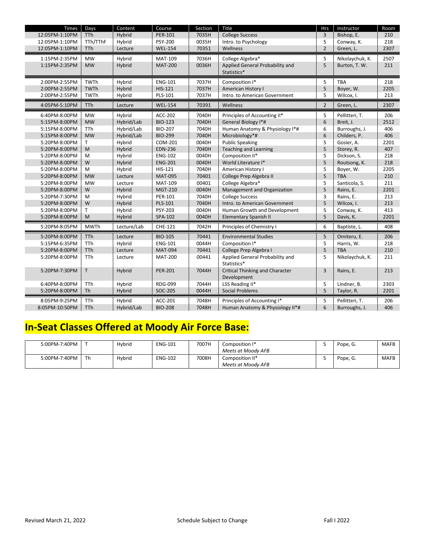| Times          | Days                   | Content     | Course         | Section        | Title                                  | <b>Hrs</b>     | Instructor      | Room        |
|----------------|------------------------|-------------|----------------|----------------|----------------------------------------|----------------|-----------------|-------------|
| 12:05PM-1:10PM | TTh                    | Hybrid      | PER-101        | 7035H          | <b>College Success</b>                 | 3              | Bishop, E.      | 210         |
| 12:05PM-1:10PM | TTh/TThF               | Hybrid      | <b>PSY-200</b> | 0035H          | Intro. to Psychology                   | 5              | Conway, K.      | 218         |
| 12:05PM-1:10PM | TTh                    | Lecture     | <b>WEL-154</b> | 70351          | Wellness                               | $\overline{2}$ | Green, L.       | 2307        |
|                |                        |             |                |                |                                        |                |                 |             |
| 1:15PM-2:35PM  | <b>MW</b><br><b>MW</b> | Hybrid      | <b>MAT-109</b> | 7036H<br>0036H | College Algebra*                       | 5<br>5         | Nikolaychuk, K. | 2507<br>211 |
| 1:15PM-2:35PM  |                        | Hybrid      | <b>MAT-200</b> |                | Applied General Probability and        |                | Burton, T. W.   |             |
|                |                        |             |                |                | Statistics*                            |                |                 |             |
| 2:00PM-2:55PM  | TWTh                   | Hybrid      | <b>ENG-101</b> | 7037H          | Composition I*                         | 5              | <b>TBA</b>      | 218         |
| 2:00PM-2:55PM  | <b>TWTh</b>            | Hybrid      | HIS-121        | 7037H          | American History I                     | 5              | Boyer, W.       | 2205        |
| 2:00PM-2:55PM  | TWTh                   | Hybrid      | PLS-101        | 7037H          | Intro. to American Government          | 5              | Wilcox, I.      | 213         |
| 4:05PM-5:10PM  | <b>TTh</b>             | Lecture     | <b>WEL-154</b> | 70391          | Wellness                               | $\overline{2}$ | Green, L.       | 2307        |
| 6:40PM-8:00PM  | <b>MW</b>              | Hybrid      | ACC-202        | 7040H          | Principles of Accounting II*           | 5              | Pellitteri, T.  | 206         |
| 5:15PM-8:00PM  | <b>MW</b>              | Hybrid/Lab  | <b>BIO-123</b> | 7040H          | General Biology I*#                    | 6              | Breit, J.       | 2512        |
| 5:15PM-8:00PM  | <b>TTh</b>             | Hybrid/Lab  | <b>BIO-207</b> | 7040H          | Human Anatomy & Physiology I*#         | 6              | Burroughs, J.   | 406         |
| 5:15PM-8:00PM  | <b>MW</b>              | Hybrid/Lab  | <b>BIO-299</b> | 7040H          | Microbiology*#                         | 6              | Childers, P.    | 406         |
| 5:20PM-8:00PM  | Τ                      | Hybrid      | COM-201        | 0040H          | <b>Public Speaking</b>                 | 5              | Gosier, A.      | 2201        |
| 5:20PM-8:00PM  | M                      | Hybrid      | <b>EDN-236</b> | 7040H          | <b>Teaching and Learning</b>           | 5              | Storey, R.      | 407         |
| 5:20PM-8:00PM  | M                      | Hybrid      | <b>ENG-102</b> | 0040H          | Composition II*                        | 5              | Dickson, S.     | 218         |
| 5:20PM-8:00PM  | W                      | Hybrid      | <b>ENG-201</b> | 0040H          | World Literature I*                    | 5              | Routsong, K.    | 218         |
| 5:20PM-8:00PM  | M                      | Hybrid      | HIS-121        | 7040H          | American History I                     | 5              | Boyer, W.       | 2205        |
| 5:20PM-8:00PM  | <b>MW</b>              | Lecture     | <b>MAT-095</b> | 70401          | College Prep Algebra II                | 5              | <b>TBA</b>      | 210         |
| 5:20PM-8:00PM  | <b>MW</b>              | Lecture     | <b>MAT-109</b> | 00401          | College Algebra*                       | 5              | Santicola, S.   | 211         |
| 5:20PM-8:00PM  | W                      | Hybrid      | MGT-210        | 0040H          | Management and Organization            | 5              | Rains, E.       | 2201        |
| 5:20PM-7:30PM  | M                      | Hybrid      | PER-101        | 7040H          | <b>College Success</b>                 | 3              | Rains, E.       | 213         |
| 5:20PM-8:00PM  | W                      | Hybrid      | PLS-101        | 7040H          | Intro. to American Government          | 5              | Wilcox, I.      | 213         |
| 5:20PM-8:00PM  | Τ                      | Hybrid      | PSY-203        | 0040H          | Human Growth and Development           | 5              | Conway, K.      | 413         |
| 5:20PM-8:00PM  | M                      | Hybrid      | SPA-102        | 0040H          | <b>Elementary Spanish II</b>           | 5              | Davis, K.       | 2201        |
| 5:20PM-8:05PM  | <b>MWTh</b>            | Lecture/Lab | CHE-121        | 7042H          | Principles of Chemistry I              | 6              | Baptiste, L.    | 408         |
| 5:20PM-8:00PM  | <b>TTh</b>             | Lecture     | <b>BIO-105</b> | 70441          | <b>Environmental Studies</b>           | 5              | Omiteru, E.     | 206         |
| 5:15PM-6:35PM  | TTh                    | Hybrid      | <b>ENG-101</b> | 0044H          | Composition I*                         | 5              | Harris, W.      | 218         |
| 5:20PM-8:00PM  | <b>TTh</b>             | Lecture     | <b>MAT-094</b> | 70441          | College Prep Algebra I                 | 5              | <b>TBA</b>      | 210         |
| 5:20PM-8:00PM  | TTh                    | Lecture     | <b>MAT-200</b> | 00441          | Applied General Probability and        | 5              | Nikolaychuk, K. | 211         |
|                |                        |             |                |                | Statistics*                            |                |                 |             |
| 5:20PM-7:30PM  | T                      | Hybrid      | <b>PER-201</b> | 7044H          | <b>Critical Thinking and Character</b> | 3              | Rains, E.       | 213         |
|                |                        |             |                |                | Development                            |                |                 |             |
| 6:40PM-8:00PM  | TTh                    | Hybrid      | <b>RDG-099</b> | 7044H          | LSS Reading II*                        | 5              | Lindner, B.     | 2303        |
| 5:20PM-8:00PM  | Th                     | Hybrid      | SOC-205        | 0044H          | <b>Social Problems</b>                 | 5              | Taylor, R.      | 2201        |
| 8:05PM-9:25PM  | TTh                    | Hybrid      | ACC-201        | 7048H          | Principles of Accounting I*            | 5              | Pellitteri, T.  | 206         |
| 8:05PM-10:50PM | TTh                    | Hybrid/Lab  | <b>BIO-208</b> | 7048H          | Human Anatomy & Physiology II*#        | 6              | Burroughs, J.   | 406         |

# **In-Seat Classes Offered at Moody Air Force Base:**

| 5:00PM-7:40PM |    | Hybrid | <b>ENG-101</b> | 7007H | Composition I*     | Pope, G. | <b>MAFB</b> |
|---------------|----|--------|----------------|-------|--------------------|----------|-------------|
|               |    |        |                |       | Meets at Moody AFB |          |             |
| 5:00PM-7:40PM | Th | Hybrid | <b>ENG-102</b> | 7008H | Composition II*    | Pope, G. | <b>MAFB</b> |
|               |    |        |                |       | Meets at Moody AFB |          |             |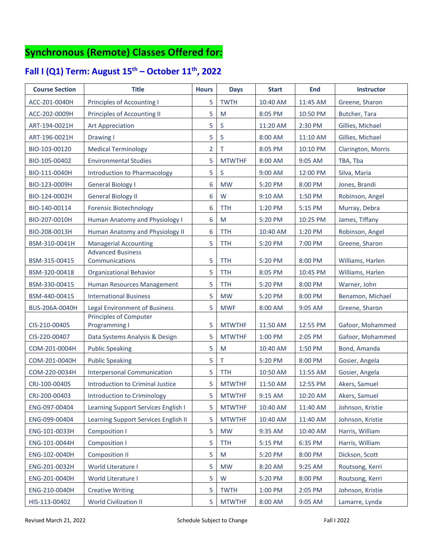## **Synchronous (Remote) Classes Offered for:**

### **Fall I (Q1) Term: August 15th – October 11th, 2022**

| <b>Course Section</b> | <b>Title</b>                                                          | <b>Hours</b>   | <b>Days</b>             | <b>Start</b> | <b>End</b> | <b>Instructor</b>                    |
|-----------------------|-----------------------------------------------------------------------|----------------|-------------------------|--------------|------------|--------------------------------------|
| ACC-201-0040H         | <b>Principles of Accounting I</b>                                     | 5              | <b>TWTH</b>             | 10:40 AM     | 11:45 AM   | Greene, Sharon                       |
| ACC-202-0009H         | <b>Principles of Accounting II</b>                                    | 5              | M                       | 8:05 PM      | 10:50 PM   | Butcher, Tara                        |
| ART-194-0021H         | <b>Art Appreciation</b>                                               | 5              | S                       | 11:20 AM     | 2:30 PM    | Gillies, Michael                     |
| ART-196-0021H         | Drawing I                                                             | 5              | $\mathsf{S}$            | 8:00 AM      | 11:10 AM   | Gillies, Michael                     |
| BIO-103-00120         | <b>Medical Terminology</b>                                            | $\overline{2}$ | Τ                       | 8:05 PM      | 10:10 PM   | Clarington, Morris                   |
| BIO-105-00402         | <b>Environmental Studies</b>                                          | 5              | <b>MTWTHF</b>           | 8:00 AM      | 9:05 AM    | TBA, Tba                             |
| BIO-111-0040H         | <b>Introduction to Pharmacology</b>                                   | 5              | S.                      | 9:00 AM      | 12:00 PM   | Silva, Maria                         |
| BIO-123-0009H         | <b>General Biology I</b>                                              | 6              | <b>MW</b>               | 5:20 PM      | 8:00 PM    | Jones, Brandi                        |
| BIO-124-0002H         | <b>General Biology II</b>                                             | 6              | W                       | 9:10 AM      | 1:50 PM    | Robinson, Angel                      |
| BIO-140-00114         | <b>Forensic Biotechnology</b>                                         | 6              | <b>TTH</b>              | 1:20 PM      | 5:15 PM    | Murray, Debra                        |
| BIO-207-0010H         | Human Anatomy and Physiology I                                        | 6              | M                       | 5:20 PM      | 10:25 PM   | James, Tiffany                       |
| BIO-208-0013H         | Human Anatomy and Physiology II                                       | 6              | <b>TTH</b>              | 10:40 AM     | 1:20 PM    | Robinson, Angel                      |
| BSM-310-0041H         | <b>Managerial Accounting</b>                                          | 5              | <b>TTH</b>              | 5:20 PM      | 7:00 PM    | Greene, Sharon                       |
|                       | <b>Advanced Business</b>                                              |                |                         |              |            |                                      |
| BSM-315-00415         | Communications                                                        | 5<br>5         | <b>TTH</b>              | 5:20 PM      | 8:00 PM    | Williams, Harlen<br>Williams, Harlen |
| BSM-320-00418         | <b>Organizational Behavior</b>                                        |                | <b>TTH</b>              | 8:05 PM      | 10:45 PM   |                                      |
| BSM-330-00415         | Human Resources Management                                            | 5              | <b>TTH</b><br><b>MW</b> | 5:20 PM      | 8:00 PM    | Warner, John                         |
| BSM-440-00415         | <b>International Business</b>                                         | 5<br>5         | <b>MWF</b>              | 5:20 PM      | 8:00 PM    | Benamon, Michael                     |
| BUS-206A-0040H        | <b>Legal Environment of Business</b><br><b>Principles of Computer</b> |                |                         | 8:00 AM      | 9:05 AM    | Greene, Sharon                       |
| CIS-210-00405         | <b>Programming I</b>                                                  | 5              | <b>MTWTHF</b>           | 11:50 AM     | 12:55 PM   | Gafoor, Mohammed                     |
| CIS-220-00407         | Data Systems Analysis & Design                                        | 5              | <b>MTWTHF</b>           | 1:00 PM      | 2:05 PM    | Gafoor, Mohammed                     |
| COM-201-0004H         | <b>Public Speaking</b>                                                | 5              | M                       | 10:40 AM     | 1:50 PM    | Bond, Amanda                         |
| COM-201-0040H         | <b>Public Speaking</b>                                                | 5              | Τ                       | 5:20 PM      | 8:00 PM    | Gosier, Angela                       |
| COM-220-0034H         | <b>Interpersonal Communication</b>                                    | 5              | <b>TTH</b>              | 10:50 AM     | 11:55 AM   | Gosier, Angela                       |
| CRJ-100-00405         | <b>Introduction to Criminal Justice</b>                               | 5              | <b>MTWTHF</b>           | 11:50 AM     | 12:55 PM   | Akers, Samuel                        |
| CRJ-200-00403         | Introduction to Criminology                                           | 5              | <b>MTWTHF</b>           | 9:15 AM      | 10:20 AM   | Akers, Samuel                        |
| ENG-097-00404         | Learning Support Services English I                                   | 5              | <b>MTWTHF</b>           | 10:40 AM     | 11:40 AM   | Johnson, Kristie                     |
| ENG-099-00404         | Learning Support Services English II                                  | 5              | <b>MTWTHF</b>           | 10:40 AM     | 11:40 AM   | Johnson, Kristie                     |
| ENG-101-0033H         | <b>Composition I</b>                                                  | 5              | <b>MW</b>               | 9:35 AM      | 10:40 AM   | Harris, William                      |
| ENG-101-0044H         | <b>Composition I</b>                                                  | 5              | <b>TTH</b>              | 5:15 PM      | 6:35 PM    | Harris, William                      |
| ENG-102-0040H         | <b>Composition II</b>                                                 | 5              | M                       | 5:20 PM      | 8:00 PM    | Dickson, Scott                       |
| ENG-201-0032H         | World Literature I                                                    | 5              | <b>MW</b>               | 8:20 AM      | 9:25 AM    | Routsong, Kerri                      |
| ENG-201-0040H         | World Literature I                                                    | 5              | W                       | 5:20 PM      | 8:00 PM    | Routsong, Kerri                      |
| ENG-210-0040H         | <b>Creative Writing</b>                                               | 5              | <b>TWTH</b>             | 1:00 PM      | 2:05 PM    | Johnson, Kristie                     |
| HIS-113-00402         | <b>World Civilization II</b>                                          | 5              | <b>MTWTHF</b>           | 8:00 AM      | 9:05 AM    | Lamarre, Lynda                       |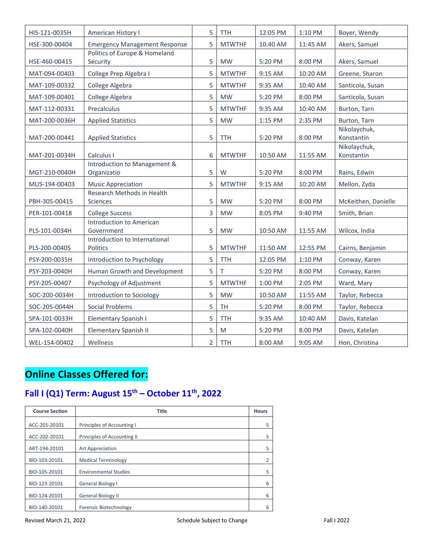| HIS-121-0035H | <b>American History I</b>                            | $\overline{5}$ | <b>TTH</b>    | 12:05 PM | 1:10 PM  | Boyer, Wendy               |
|---------------|------------------------------------------------------|----------------|---------------|----------|----------|----------------------------|
| HSE-300-00404 | <b>Emergency Management Response</b>                 | 5              | <b>MTWTHF</b> | 10:40 AM | 11:45 AM | Akers, Samuel              |
| HSE-460-00415 | Politics of Europe & Homeland<br>Security            | 5              | <b>MW</b>     | 5:20 PM  | 8:00 PM  | Akers, Samuel              |
| MAT-094-00403 | College Prep Algebra I                               | 5              | <b>MTWTHF</b> | 9:15 AM  | 10:20 AM | Greene, Sharon             |
| MAT-109-00332 | <b>College Algebra</b>                               | 5              | <b>MTWTHF</b> | 9:35 AM  | 10:40 AM | Santicola, Susan           |
| MAT-109-00401 | College Algebra                                      | 5              | <b>MW</b>     | 5:20 PM  | 8:00 PM  | Santicola, Susan           |
| MAT-112-00331 | Precalculus                                          | 5              | <b>MTWTHF</b> | 9:35 AM  | 10:40 AM | Burton, Tarn               |
| MAT-200-0036H | <b>Applied Statistics</b>                            | 5              | <b>MW</b>     | 1:15 PM  | 2:35 PM  | Burton, Tarn               |
| MAT-200-00441 | <b>Applied Statistics</b>                            | 5              | <b>TTH</b>    | 5:20 PM  | 8:00 PM  | Nikolaychuk,<br>Konstantin |
| MAT-201-0034H | Calculus I                                           | 6              | <b>MTWTHF</b> | 10:50 AM | 11:55 AM | Nikolaychuk,<br>Konstantin |
| MGT-210-0040H | Introduction to Management &<br>Organizatio          | 5              | W             | 5:20 PM  | 8:00 PM  | Rains, Edwin               |
| MUS-194-00403 | <b>Music Appreciation</b>                            | 5              | <b>MTWTHF</b> | 9:15 AM  | 10:20 AM | Mellon, Zyda               |
| PBH-305-00415 | <b>Research Methods in Health</b><br><b>Sciences</b> | 5              | <b>MW</b>     | 5:20 PM  | 8:00 PM  | McKeithen, Danielle        |
| PER-101-00418 | <b>College Success</b>                               | 3              | <b>MW</b>     | 8:05 PM  | 9:40 PM  | Smith, Brian               |
| PLS-101-0034H | <b>Introduction to American</b><br>Government        | 5              | <b>MW</b>     | 10:50 AM | 11:55 AM | Wilcox, India              |
| PLS-200-00405 | Introduction to International<br><b>Politics</b>     | 5              | <b>MTWTHF</b> | 11:50 AM | 12:55 PM | Cairns, Benjamin           |
| PSY-200-0035H | Introduction to Psychology                           | 5              | <b>TTH</b>    | 12:05 PM | 1:10 PM  | Conway, Karen              |
| PSY-203-0040H | Human Growth and Development                         | 5              | т             | 5:20 PM  | 8:00 PM  | Conway, Karen              |
| PSY-205-00407 | Psychology of Adjustment                             | 5              | <b>MTWTHF</b> | 1:00 PM  | 2:05 PM  | Ward, Mary                 |
| SOC-200-0034H | <b>Introduction to Sociology</b>                     | 5              | <b>MW</b>     | 10:50 AM | 11:55 AM | Taylor, Rebecca            |
| SOC-205-0044H | <b>Social Problems</b>                               | 5              | <b>TH</b>     | 5:20 PM  | 8:00 PM  | Taylor, Rebecca            |
| SPA-101-0033H | <b>Elementary Spanish I</b>                          | 5              | <b>TTH</b>    | 9:35 AM  | 10:40 AM | Davis, Katelan             |
| SPA-102-0040H | <b>Elementary Spanish II</b>                         | 5              | M             | 5:20 PM  | 8:00 PM  | Davis, Katelan             |
| WEL-154-00402 | Wellness                                             | $\overline{2}$ | <b>TTH</b>    | 8:00 AM  | 9:05 AM  | Hon, Christina             |

# **Online Classes Offered for:**

# **Fall I (Q1) Term: August 15th – October 11th, 2022**

| <b>Course Section</b> | <b>Title</b>                       | <b>Hours</b> |
|-----------------------|------------------------------------|--------------|
| ACC-201-20101         | <b>Principles of Accounting I</b>  | 5            |
| ACC-202-20101         | <b>Principles of Accounting II</b> | 5            |
| ART-194-20101         | <b>Art Appreciation</b>            | 5            |
| BIO-103-20101         | <b>Medical Terminology</b>         |              |
| BIO-105-20101         | <b>Environmental Studies</b>       | 5            |
| BIO-123-20101         | <b>General Biology I</b>           | 6            |
| BIO-124-20101         | <b>General Biology II</b>          | 6            |
| BIO-140-20101         | <b>Forensic Biotechnology</b>      | 6            |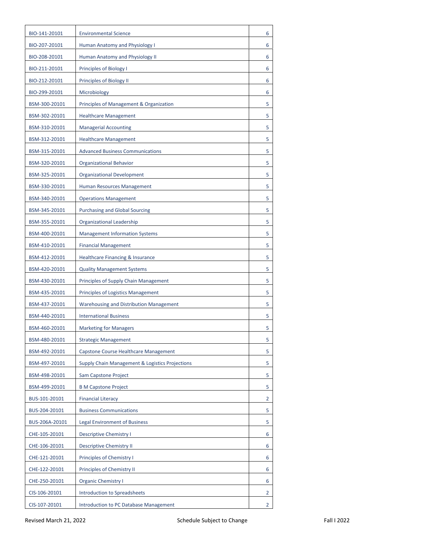| BIO-141-20101  | <b>Environmental Science</b>                    | 6              |
|----------------|-------------------------------------------------|----------------|
| BIO-207-20101  | Human Anatomy and Physiology I                  | 6              |
| BIO-208-20101  | Human Anatomy and Physiology II                 | 6              |
| BIO-211-20101  | Principles of Biology I                         | 6              |
| BIO-212-20101  | Principles of Biology II                        | 6              |
| BIO-299-20101  | Microbiology                                    | 6              |
| BSM-300-20101  | Principles of Management & Organization         | 5              |
| BSM-302-20101  | <b>Healthcare Management</b>                    | 5              |
| BSM-310-20101  | <b>Managerial Accounting</b>                    | 5              |
| BSM-312-20101  | <b>Healthcare Management</b>                    | 5              |
| BSM-315-20101  | <b>Advanced Business Communications</b>         | 5              |
| BSM-320-20101  | <b>Organizational Behavior</b>                  | 5              |
| BSM-325-20101  | <b>Organizational Development</b>               | 5              |
| BSM-330-20101  | Human Resources Management                      | 5              |
| BSM-340-20101  | <b>Operations Management</b>                    | 5              |
| BSM-345-20101  | <b>Purchasing and Global Sourcing</b>           | 5              |
| BSM-355-20101  | <b>Organizational Leadership</b>                | 5              |
| BSM-400-20101  | <b>Management Information Systems</b>           | 5              |
| BSM-410-20101  | <b>Financial Management</b>                     | 5              |
| BSM-412-20101  | Healthcare Financing & Insurance                | 5              |
| BSM-420-20101  | <b>Quality Management Systems</b>               | 5              |
| BSM-430-20101  | Principles of Supply Chain Management           | 5              |
| BSM-435-20101  | <b>Principles of Logistics Management</b>       | 5              |
| BSM-437-20101  | <b>Warehousing and Distribution Management</b>  | 5              |
| BSM-440-20101  | <b>International Business</b>                   | 5              |
| BSM-460-20101  | <b>Marketing for Managers</b>                   | 5              |
| BSM-480-20101  | <b>Strategic Management</b>                     | 5              |
| BSM-492-20101  | Capstone Course Healthcare Management           | 5              |
| BSM-497-20101  | Supply Chain Management & Logistics Projections | 5              |
| BSM-498-20101  | Sam Capstone Project                            | 5              |
| BSM-499-20101  | <b>B M Capstone Project</b>                     | 5              |
| BUS-101-20101  | <b>Financial Literacy</b>                       | 2              |
| BUS-204-20101  | <b>Business Communications</b>                  | 5              |
| BUS-206A-20101 | <b>Legal Environment of Business</b>            | 5              |
| CHE-105-20101  | <b>Descriptive Chemistry I</b>                  | 6              |
| CHE-106-20101  | <b>Descriptive Chemistry II</b>                 | 6              |
| CHE-121-20101  | Principles of Chemistry I                       | 6              |
| CHE-122-20101  | Principles of Chemistry II                      | 6              |
| CHE-250-20101  | <b>Organic Chemistry I</b>                      | 6              |
| CIS-106-20101  | <b>Introduction to Spreadsheets</b>             | 2              |
| CIS-107-20101  | Introduction to PC Database Management          | $\overline{2}$ |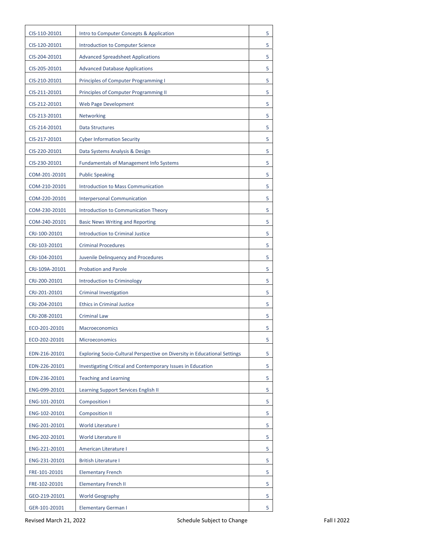| CIS-110-20101  | Intro to Computer Concepts & Application                                  | 5 |
|----------------|---------------------------------------------------------------------------|---|
| CIS-120-20101  | <b>Introduction to Computer Science</b>                                   | 5 |
| CIS-204-20101  | <b>Advanced Spreadsheet Applications</b>                                  | 5 |
| CIS-205-20101  | <b>Advanced Database Applications</b>                                     | 5 |
| CIS-210-20101  | Principles of Computer Programming I                                      | 5 |
| CIS-211-20101  | Principles of Computer Programming II                                     | 5 |
| CIS-212-20101  | <b>Web Page Development</b>                                               | 5 |
| CIS-213-20101  | Networking                                                                | 5 |
| CIS-214-20101  | <b>Data Structures</b>                                                    | 5 |
| CIS-217-20101  | <b>Cyber Information Security</b>                                         | 5 |
| CIS-220-20101  | Data Systems Analysis & Design                                            | 5 |
| CIS-230-20101  | <b>Fundamentals of Management Info Systems</b>                            | 5 |
| COM-201-20101  | <b>Public Speaking</b>                                                    | 5 |
| COM-210-20101  | Introduction to Mass Communication                                        | 5 |
| COM-220-20101  | <b>Interpersonal Communication</b>                                        | 5 |
| COM-230-20101  | Introduction to Communication Theory                                      | 5 |
| COM-240-20101  | <b>Basic News Writing and Reporting</b>                                   | 5 |
| CRJ-100-20101  | <b>Introduction to Criminal Justice</b>                                   | 5 |
| CRJ-103-20101  | <b>Criminal Procedures</b>                                                | 5 |
| CRJ-104-20101  | Juvenile Delinquency and Procedures                                       | 5 |
| CRJ-109A-20101 | <b>Probation and Parole</b>                                               | 5 |
| CRJ-200-20101  | Introduction to Criminology                                               | 5 |
| CRJ-201-20101  | <b>Criminal Investigation</b>                                             | 5 |
| CRJ-204-20101  | <b>Ethics in Criminal Justice</b>                                         | 5 |
| CRJ-208-20101  | <b>Criminal Law</b>                                                       | 5 |
| ECO-201-20101  | Macroeconomics                                                            | 5 |
| ECO-202-20101  | Microeconomics                                                            | 5 |
| EDN-216-20101  | Exploring Socio-Cultural Perspective on Diversity in Educational Settings | 5 |
| EDN-226-20101  | Investigating Critical and Contemporary Issues in Education               | 5 |
| EDN-236-20101  | <b>Teaching and Learning</b>                                              | 5 |
| ENG-099-20101  | Learning Support Services English II                                      | 5 |
| ENG-101-20101  | Composition I                                                             | 5 |
| ENG-102-20101  | <b>Composition II</b>                                                     | 5 |
| ENG-201-20101  | World Literature I                                                        | 5 |
| ENG-202-20101  | World Literature II                                                       | 5 |
| ENG-221-20101  | American Literature I                                                     | 5 |
| ENG-231-20101  | <b>British Literature I</b>                                               | 5 |
| FRE-101-20101  | <b>Elementary French</b>                                                  | 5 |
| FRE-102-20101  | <b>Elementary French II</b>                                               | 5 |
| GEO-219-20101  | <b>World Geography</b>                                                    | 5 |
| GER-101-20101  | <b>Elementary German I</b>                                                | 5 |
|                |                                                                           |   |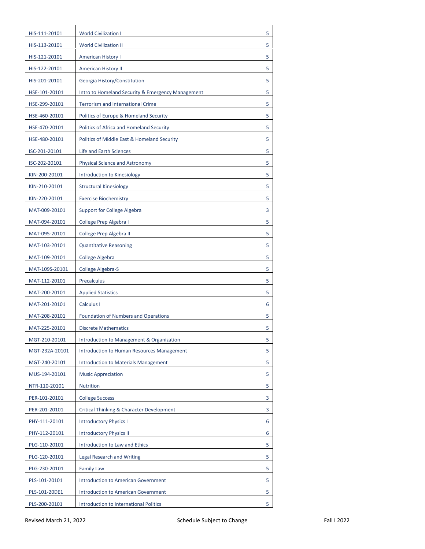| HIS-111-20101  | <b>World Civilization I</b>                       | 5 |
|----------------|---------------------------------------------------|---|
| HIS-113-20101  | <b>World Civilization II</b>                      | 5 |
| HIS-121-20101  | <b>American History I</b>                         | 5 |
| HIS-122-20101  | American History II                               | 5 |
| HIS-201-20101  | Georgia History/Constitution                      | 5 |
| HSE-101-20101  | Intro to Homeland Security & Emergency Management | 5 |
| HSE-299-20101  | <b>Terrorism and International Crime</b>          | 5 |
| HSE-460-20101  | Politics of Europe & Homeland Security            | 5 |
| HSE-470-20101  | Politics of Africa and Homeland Security          | 5 |
| HSE-480-20101  | Politics of Middle East & Homeland Security       | 5 |
| ISC-201-20101  | Life and Earth Sciences                           | 5 |
| ISC-202-20101  | <b>Physical Science and Astronomy</b>             | 5 |
| KIN-200-20101  | Introduction to Kinesiology                       | 5 |
| KIN-210-20101  | <b>Structural Kinesiology</b>                     | 5 |
| KIN-220-20101  | <b>Exercise Biochemistry</b>                      | 5 |
| MAT-009-20101  | <b>Support for College Algebra</b>                | 3 |
| MAT-094-20101  | College Prep Algebra I                            | 5 |
| MAT-095-20101  | College Prep Algebra II                           | 5 |
| MAT-103-20101  | <b>Quantitative Reasoning</b>                     | 5 |
| MAT-109-20101  | College Algebra                                   | 5 |
| MAT-109S-20101 | College Algebra-S                                 | 5 |
| MAT-112-20101  | Precalculus                                       | 5 |
| MAT-200-20101  | <b>Applied Statistics</b>                         | 5 |
| MAT-201-20101  | Calculus I                                        | 6 |
| MAT-208-20101  | <b>Foundation of Numbers and Operations</b>       | 5 |
| MAT-225-20101  | <b>Discrete Mathematics</b>                       | 5 |
| MGT-210-20101  | Introduction to Management & Organization         | 5 |
| MGT-232A-20101 | Introduction to Human Resources Management        | 5 |
| MGT-240-20101  | <b>Introduction to Materials Management</b>       | 5 |
| MUS-194-20101  | <b>Music Appreciation</b>                         | 5 |
| NTR-110-20101  | <b>Nutrition</b>                                  | 5 |
| PER-101-20101  | <b>College Success</b>                            | 3 |
| PER-201-20101  | Critical Thinking & Character Development         | 3 |
| PHY-111-20101  | <b>Introductory Physics I</b>                     | 6 |
| PHY-112-20101  | <b>Introductory Physics II</b>                    | 6 |
| PLG-110-20101  | Introduction to Law and Ethics                    | 5 |
| PLG-120-20101  | Legal Research and Writing                        | 5 |
| PLG-230-20101  | <b>Family Law</b>                                 | 5 |
| PLS-101-20101  | <b>Introduction to American Government</b>        | 5 |
| PLS-101-20DE1  | <b>Introduction to American Government</b>        | 5 |
| PLS-200-20101  | Introduction to International Politics            | 5 |